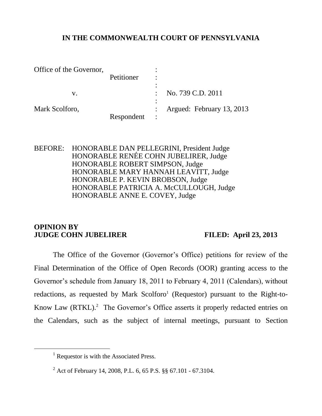## **IN THE COMMONWEALTH COURT OF PENNSYLVANIA**

| Office of the Governor, |            | ٠              |                           |
|-------------------------|------------|----------------|---------------------------|
|                         | Petitioner | $\bullet$      |                           |
|                         |            | $\bullet$      |                           |
| V.                      |            |                | No. 739 C.D. 2011         |
|                         |            | $\bullet$      |                           |
| Mark Scolforo,          |            |                | Argued: February 13, 2013 |
|                         | Respondent | $\ddot{\cdot}$ |                           |

BEFORE: HONORABLE DAN PELLEGRINI, President Judge HONORABLE RENÉE COHN JUBELIRER, Judge HONORABLE ROBERT SIMPSON, Judge HONORABLE MARY HANNAH LEAVITT, Judge HONORABLE P. KEVIN BROBSON, Judge HONORABLE PATRICIA A. McCULLOUGH, Judge HONORABLE ANNE E. COVEY, Judge

### **OPINION BY JUDGE COHN JUBELIRER FILED: April 23, 2013**

l

The Office of the Governor (Governor's Office) petitions for review of the Final Determination of the Office of Open Records (OOR) granting access to the Governor's schedule from January 18, 2011 to February 4, 2011 (Calendars), without redactions, as requested by Mark Scolforo<sup>1</sup> (Requestor) pursuant to the Right-to-Know Law (RTKL).<sup>2</sup> The Governor's Office asserts it properly redacted entries on the Calendars, such as the subject of internal meetings, pursuant to Section

<sup>&</sup>lt;sup>1</sup> Requestor is with the Associated Press.

<sup>2</sup> Act of February 14, 2008, P.L. 6, 65 P.S. §§ 67.101 - 67.3104.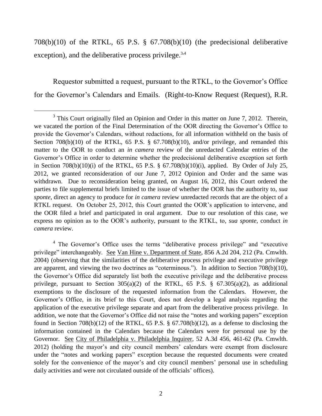708(b)(10) of the RTKL, 65 P.S. § 67.708(b)(10) (the predecisional deliberative exception), and the deliberative process privilege.<sup>3,4</sup>

Requestor submitted a request, pursuant to the RTKL, to the Governor's Office for the Governor's Calendars and Emails. (Right-to-Know Request (Request), R.R.

 $3$  This Court originally filed an Opinion and Order in this matter on June 7, 2012. Therein, we vacated the portion of the Final Determination of the OOR directing the Governor's Office to provide the Governor's Calendars, without redactions, for all information withheld on the basis of Section  $708(b)(10)$  of the RTKL, 65 P.S. § 67.708(b)(10), and/or privilege, and remanded this matter to the OOR to conduct an *in camera* review of the unredacted Calendar entries of the Governor's Office in order to determine whether the predecisional deliberative exception set forth in Section 708(b)(10)(i) of the RTKL, 65 P.S. § 67.708(b)(10)(i), applied. By Order of July 25, 2012, we granted reconsideration of our June 7, 2012 Opinion and Order and the same was withdrawn. Due to reconsideration being granted, on August 16, 2012, this Court ordered the parties to file supplemental briefs limited to the issue of whether the OOR has the authority to, *sua sponte*, direct an agency to produce for *in camera* review unredacted records that are the object of a RTKL request. On October 25, 2012, this Court granted the OOR's application to intervene, and the OOR filed a brief and participated in oral argument. Due to our resolution of this case, we express no opinion as to the OOR's authority, pursuant to the RTKL, to, *sua sponte*, conduct *in camera* review.

<sup>&</sup>lt;sup>4</sup> The Governor's Office uses the terms "deliberative process privilege" and "executive privilege" interchangeably. See Van Hine v. Department of State, 856 A.2d 204, 212 (Pa. Cmwlth. 2004) (observing that the similarities of the deliberative process privilege and executive privilege are apparent, and viewing the two doctrines as "coterminous."). In addition to Section 708(b)(10), the Governor's Office did separately list both the executive privilege and the deliberative process privilege, pursuant to Section  $305(a)(2)$  of the RTKL, 65 P.S. § 67.305(a)(2), as additional exemptions to the disclosure of the requested information from the Calendars. However, the Governor's Office, in its brief to this Court, does not develop a legal analysis regarding the application of the executive privilege separate and apart from the deliberative process privilege. In addition, we note that the Governor's Office did not raise the "notes and working papers" exception found in Section 708(b)(12) of the RTKL, 65 P.S. § 67.708(b)(12), as a defense to disclosing the information contained in the Calendars because the Calendars were for personal use by the Governor. See City of Philadelphia v. Philadelphia Inquirer, 52 A.3d 456, 461-62 (Pa. Cmwlth. 2012) (holding the mayor's and city council members' calendars were exempt from disclosure under the "notes and working papers" exception because the requested documents were created solely for the convenience of the mayor's and city council members' personal use in scheduling daily activities and were not circulated outside of the officials' offices).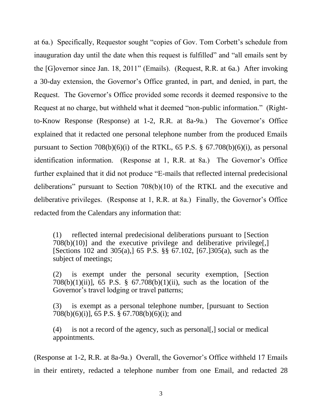at 6a.) Specifically, Requestor sought "copies of Gov. Tom Corbett's schedule from inauguration day until the date when this request is fulfilled" and "all emails sent by the [G]overnor since Jan. 18, 2011" (Emails). (Request, R.R. at 6a.) After invoking a 30-day extension, the Governor's Office granted, in part, and denied, in part, the Request. The Governor's Office provided some records it deemed responsive to the Request at no charge, but withheld what it deemed "non-public information." (Rightto-Know Response (Response) at 1-2, R.R. at 8a-9a.) The Governor's Office explained that it redacted one personal telephone number from the produced Emails pursuant to Section  $708(b)(6)(i)$  of the RTKL, 65 P.S. § 67.708(b)(6)(i), as personal identification information. (Response at 1, R.R. at 8a.) The Governor's Office further explained that it did not produce "E-mails that reflected internal predecisional deliberations" pursuant to Section 708(b)(10) of the RTKL and the executive and deliberative privileges. (Response at 1, R.R. at 8a.) Finally, the Governor's Office redacted from the Calendars any information that:

(1) reflected internal predecisional deliberations pursuant to [Section  $708(b)(10)$  and the executive privilege and deliberative privilege. [Sections 102 and 305(a),] 65 P.S. §§ 67.102, [67.]305(a), such as the subject of meetings;

(2) is exempt under the personal security exemption, [Section 708(b)(1)(ii)], 65 P.S. § 67.708(b)(1)(ii), such as the location of the Governor's travel lodging or travel patterns;

(3) is exempt as a personal telephone number, [pursuant to Section 708(b)(6)(i)],  $\overline{6}$  5 P.S.  $\overline{8}$  67.708(b)(6)(i); and

(4) is not a record of the agency, such as personal[,] social or medical appointments.

(Response at 1-2, R.R. at 8a-9a.) Overall, the Governor's Office withheld 17 Emails in their entirety, redacted a telephone number from one Email, and redacted 28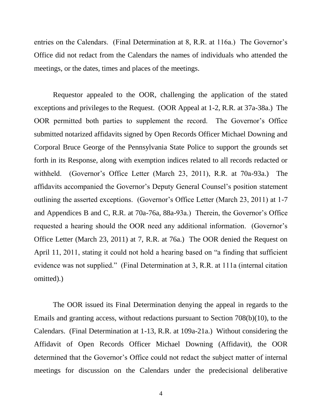entries on the Calendars. (Final Determination at 8, R.R. at 116a.) The Governor's Office did not redact from the Calendars the names of individuals who attended the meetings, or the dates, times and places of the meetings.

Requestor appealed to the OOR, challenging the application of the stated exceptions and privileges to the Request. (OOR Appeal at 1-2, R.R. at 37a-38a.) The OOR permitted both parties to supplement the record. The Governor's Office submitted notarized affidavits signed by Open Records Officer Michael Downing and Corporal Bruce George of the Pennsylvania State Police to support the grounds set forth in its Response, along with exemption indices related to all records redacted or withheld. (Governor's Office Letter (March 23, 2011), R.R. at 70a-93a.) The affidavits accompanied the Governor's Deputy General Counsel's position statement outlining the asserted exceptions. (Governor's Office Letter (March 23, 2011) at 1-7 and Appendices B and C, R.R. at 70a-76a, 88a-93a.) Therein, the Governor's Office requested a hearing should the OOR need any additional information. (Governor's Office Letter (March 23, 2011) at 7, R.R. at 76a.) The OOR denied the Request on April 11, 2011, stating it could not hold a hearing based on "a finding that sufficient evidence was not supplied." (Final Determination at 3, R.R. at 111a (internal citation omitted).)

The OOR issued its Final Determination denying the appeal in regards to the Emails and granting access, without redactions pursuant to Section 708(b)(10), to the Calendars. (Final Determination at 1-13, R.R. at 109a-21a.) Without considering the Affidavit of Open Records Officer Michael Downing (Affidavit), the OOR determined that the Governor's Office could not redact the subject matter of internal meetings for discussion on the Calendars under the predecisional deliberative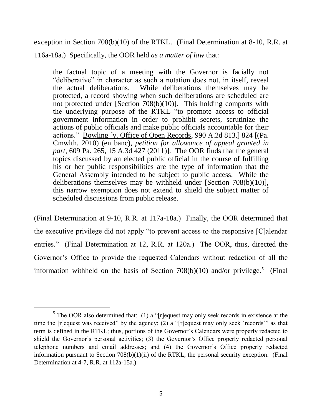exception in Section 708(b)(10) of the RTKL. (Final Determination at 8-10, R.R. at 116a-18a.) Specifically, the OOR held *as a matter of law* that:

the factual topic of a meeting with the Governor is facially not "deliberative" in character as such a notation does not, in itself, reveal the actual deliberations. While deliberations themselves may be protected, a record showing when such deliberations are scheduled are not protected under [Section 708(b)(10)]. This holding comports with the underlying purpose of the RTKL "to promote access to official government information in order to prohibit secrets, scrutinize the actions of public officials and make public officials accountable for their actions." Bowling [v. Office of Open Records*,* 990 A.2d 813,] 824 [(Pa. Cmwlth. 2010) (en banc), *petition for allowance of appeal granted in part*, 609 Pa. 265, 15 A.3d 427 (2011)]*.* The OOR finds that the general topics discussed by an elected public official in the course of fulfilling his or her public responsibilities are the type of information that the General Assembly intended to be subject to public access. While the deliberations themselves may be withheld under [Section 708(b)(10)], this narrow exemption does not extend to shield the subject matter of scheduled discussions from public release.

(Final Determination at 9-10, R.R. at 117a-18a.) Finally, the OOR determined that the executive privilege did not apply "to prevent access to the responsive [C]alendar entries." (Final Determination at 12, R.R. at 120a.) The OOR, thus, directed the Governor's Office to provide the requested Calendars without redaction of all the information withheld on the basis of Section  $708(b)(10)$  and/or privilege.<sup>5</sup> (Final

 $<sup>5</sup>$  The OOR also determined that: (1) a "[r] equest may only seek records in existence at the</sup> time the [r]equest was received" by the agency; (2) a "[r]equest may only seek 'records'" as that term is defined in the RTKL; thus, portions of the Governor's Calendars were properly redacted to shield the Governor's personal activities; (3) the Governor's Office properly redacted personal telephone numbers and email addresses; and (4) the Governor's Office properly redacted information pursuant to Section 708(b)(1)(ii) of the RTKL, the personal security exception. (Final Determination at 4-7, R.R. at 112a-15a.)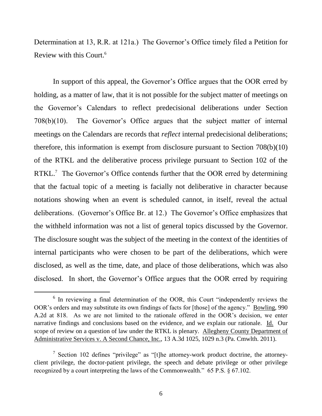Determination at 13, R.R. at 121a.) The Governor's Office timely filed a Petition for Review with this Court.<sup>6</sup>

In support of this appeal, the Governor's Office argues that the OOR erred by holding, as a matter of law, that it is not possible for the subject matter of meetings on the Governor's Calendars to reflect predecisional deliberations under Section 708(b)(10). The Governor's Office argues that the subject matter of internal meetings on the Calendars are records that *reflect* internal predecisional deliberations; therefore, this information is exempt from disclosure pursuant to Section 708(b)(10) of the RTKL and the deliberative process privilege pursuant to Section 102 of the RTKL.<sup>7</sup> The Governor's Office contends further that the OOR erred by determining that the factual topic of a meeting is facially not deliberative in character because notations showing when an event is scheduled cannot, in itself, reveal the actual deliberations. (Governor's Office Br. at 12.) The Governor's Office emphasizes that the withheld information was not a list of general topics discussed by the Governor. The disclosure sought was the subject of the meeting in the context of the identities of internal participants who were chosen to be part of the deliberations, which were disclosed, as well as the time, date, and place of those deliberations, which was also disclosed. In short, the Governor's Office argues that the OOR erred by requiring

<sup>&</sup>lt;sup>6</sup> In reviewing a final determination of the OOR, this Court "independently reviews the OOR's orders and may substitute its own findings of facts for [those] of the agency." Bowling, 990 A.2d at 818. As we are not limited to the rationale offered in the OOR's decision, we enter narrative findings and conclusions based on the evidence, and we explain our rationale. Id. Our scope of review on a question of law under the RTKL is plenary. Allegheny County Department of Administrative Services v. A Second Chance, Inc., 13 A.3d 1025, 1029 n.3 (Pa. Cmwlth. 2011).

<sup>&</sup>lt;sup>7</sup> Section 102 defines "privilege" as "[t]he attorney-work product doctrine, the attorneyclient privilege, the doctor-patient privilege, the speech and debate privilege or other privilege recognized by a court interpreting the laws of the Commonwealth." 65 P.S. § 67.102.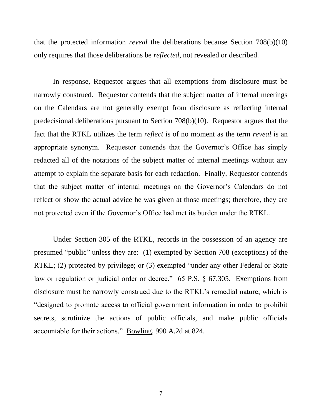that the protected information *reveal* the deliberations because Section 708(b)(10) only requires that those deliberations be *reflected*, not revealed or described.

In response, Requestor argues that all exemptions from disclosure must be narrowly construed. Requestor contends that the subject matter of internal meetings on the Calendars are not generally exempt from disclosure as reflecting internal predecisional deliberations pursuant to Section 708(b)(10). Requestor argues that the fact that the RTKL utilizes the term *reflect* is of no moment as the term *reveal* is an appropriate synonym. Requestor contends that the Governor's Office has simply redacted all of the notations of the subject matter of internal meetings without any attempt to explain the separate basis for each redaction. Finally, Requestor contends that the subject matter of internal meetings on the Governor's Calendars do not reflect or show the actual advice he was given at those meetings; therefore, they are not protected even if the Governor's Office had met its burden under the RTKL.

Under Section 305 of the RTKL, records in the possession of an agency are presumed "public" unless they are: (1) exempted by Section 708 (exceptions) of the RTKL; (2) protected by privilege; or (3) exempted "under any other Federal or State law or regulation or judicial order or decree." 65 P.S. § 67.305. Exemptions from disclosure must be narrowly construed due to the RTKL's remedial nature, which is "designed to promote access to official government information in order to prohibit secrets, scrutinize the actions of public officials, and make public officials accountable for their actions." Bowling, 990 A.2d at 824.

7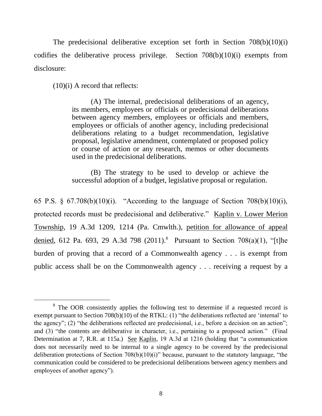The predecisional deliberative exception set forth in Section 708(b)(10)(i) codifies the deliberative process privilege. Section 708(b)(10)(i) exempts from disclosure:

(10)(i) A record that reflects:

l

(A) The internal, predecisional deliberations of an agency, its members, employees or officials or predecisional deliberations between agency members, employees or officials and members, employees or officials of another agency, including predecisional deliberations relating to a budget recommendation, legislative proposal, legislative amendment, contemplated or proposed policy or course of action or any research, memos or other documents used in the predecisional deliberations.

(B) The strategy to be used to develop or achieve the successful adoption of a budget, legislative proposal or regulation.

65 P.S. § 67.708(b)(10)(i). "According to the language of Section 708(b)(10)(i), protected records must be predecisional and deliberative." Kaplin v. Lower Merion Township, 19 A.3d 1209, 1214 (Pa. Cmwlth.), petition for allowance of appeal denied, 612 Pa. 693, 29 A.3d 798 (2011).<sup>8</sup> Pursuant to Section 708(a)(1), "[t]he burden of proving that a record of a Commonwealth agency . . . is exempt from public access shall be on the Commonwealth agency . . . receiving a request by a

<sup>&</sup>lt;sup>8</sup> The OOR consistently applies the following test to determine if a requested record is exempt pursuant to Section 708(b)(10) of the RTKL: (1) "the deliberations reflected are 'internal' to the agency"; (2) "the deliberations reflected are predecisional, i.e., before a decision on an action"; and (3) "the contents are deliberative in character, i.e., pertaining to a proposed action." (Final Determination at 7, R.R. at 115a.) See Kaplin, 19 A.3d at 1216 (holding that "a communication does not necessarily need to be internal to a single agency to be covered by the predecisional deliberation protections of Section 708(b)(10)(i)" because, pursuant to the statutory language, "the communication could be considered to be predecisional deliberations between agency members and employees of another agency").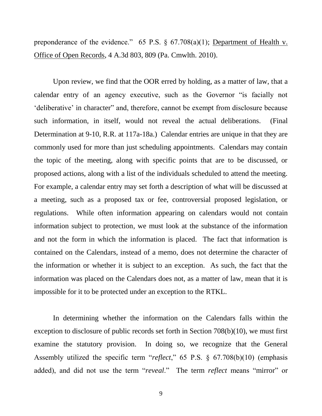preponderance of the evidence." 65 P.S.  $\S$  67.708(a)(1); Department of Health v. Office of Open Records, 4 A.3d 803, 809 (Pa. Cmwlth. 2010).

Upon review, we find that the OOR erred by holding, as a matter of law, that a calendar entry of an agency executive, such as the Governor "is facially not 'deliberative' in character" and, therefore, cannot be exempt from disclosure because such information, in itself, would not reveal the actual deliberations. (Final Determination at 9-10, R.R. at 117a-18a.) Calendar entries are unique in that they are commonly used for more than just scheduling appointments. Calendars may contain the topic of the meeting, along with specific points that are to be discussed, or proposed actions, along with a list of the individuals scheduled to attend the meeting. For example, a calendar entry may set forth a description of what will be discussed at a meeting, such as a proposed tax or fee, controversial proposed legislation, or regulations. While often information appearing on calendars would not contain information subject to protection, we must look at the substance of the information and not the form in which the information is placed. The fact that information is contained on the Calendars, instead of a memo, does not determine the character of the information or whether it is subject to an exception. As such, the fact that the information was placed on the Calendars does not, as a matter of law, mean that it is impossible for it to be protected under an exception to the RTKL.

In determining whether the information on the Calendars falls within the exception to disclosure of public records set forth in Section 708(b)(10), we must first examine the statutory provision. In doing so, we recognize that the General Assembly utilized the specific term "*reflect*," 65 P.S. § 67.708(b)(10) (emphasis added), and did not use the term "*reveal*." The term *reflect* means "mirror" or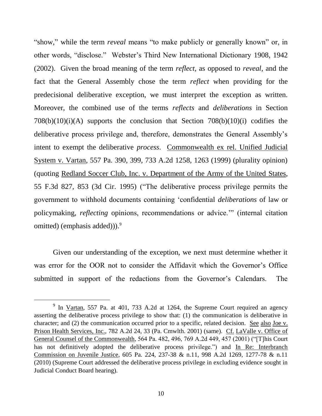"show," while the term *reveal* means "to make publicly or generally known" or, in other words, "disclose." Webster's Third New International Dictionary 1908, 1942 (2002). Given the broad meaning of the term *reflect*, as opposed to *reveal*, and the fact that the General Assembly chose the term *reflect* when providing for the predecisional deliberative exception, we must interpret the exception as written. Moreover, the combined use of the terms *reflects* and *deliberations* in Section  $708(b)(10)(i)(A)$  supports the conclusion that Section  $708(b)(10)(i)$  codifies the deliberative process privilege and, therefore, demonstrates the General Assembly's intent to exempt the deliberative *process*. Commonwealth ex rel. Unified Judicial System v. Vartan, 557 Pa. 390, 399, 733 A.2d 1258, 1263 (1999) (plurality opinion) (quoting Redland Soccer Club, Inc. v. Department of the Army of the United States, 55 F.3d 827, 853 (3d Cir. 1995) ("The deliberative process privilege permits the government to withhold documents containing 'confidential *deliberations* of law or policymaking, *reflecting* opinions, recommendations or advice.'" (internal citation omitted) (emphasis added)). $9^9$ 

Given our understanding of the exception, we next must determine whether it was error for the OOR not to consider the Affidavit which the Governor's Office submitted in support of the redactions from the Governor's Calendars. The

 $9$  In Vartan, 557 Pa. at 401, 733 A.2d at 1264, the Supreme Court required an agency asserting the deliberative process privilege to show that: (1) the communication is deliberative in character; and (2) the communication occurred prior to a specific, related decision. See also Joe v. Prison Health Services, Inc., 782 A.2d 24, 33 (Pa. Cmwlth. 2001) (same). Cf. LaValle v. Office of General Counsel of the Commonwealth, 564 Pa. 482, 496, 769 A.2d 449, 457 (2001) ("[T]his Court has not definitively adopted the deliberative process privilege.") and In Re: Interbranch Commission on Juvenile Justice, 605 Pa. 224, 237-38 & n.11, 998 A.2d 1269, 1277-78 & n.11 (2010) (Supreme Court addressed the deliberative process privilege in excluding evidence sought in Judicial Conduct Board hearing).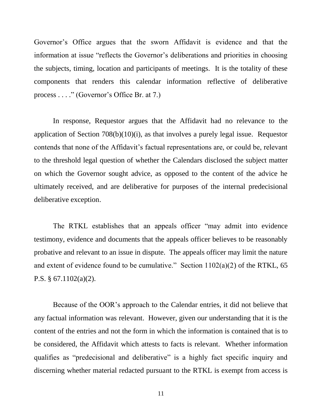Governor's Office argues that the sworn Affidavit is evidence and that the information at issue "reflects the Governor's deliberations and priorities in choosing the subjects, timing, location and participants of meetings. It is the totality of these components that renders this calendar information reflective of deliberative process . . . ." (Governor's Office Br. at 7.)

In response, Requestor argues that the Affidavit had no relevance to the application of Section 708(b)(10)(i), as that involves a purely legal issue. Requestor contends that none of the Affidavit's factual representations are, or could be, relevant to the threshold legal question of whether the Calendars disclosed the subject matter on which the Governor sought advice, as opposed to the content of the advice he ultimately received, and are deliberative for purposes of the internal predecisional deliberative exception.

The RTKL establishes that an appeals officer "may admit into evidence testimony, evidence and documents that the appeals officer believes to be reasonably probative and relevant to an issue in dispute. The appeals officer may limit the nature and extent of evidence found to be cumulative." Section  $1102(a)(2)$  of the RTKL, 65 P.S. § 67.1102(a)(2).

Because of the OOR's approach to the Calendar entries, it did not believe that any factual information was relevant. However, given our understanding that it is the content of the entries and not the form in which the information is contained that is to be considered, the Affidavit which attests to facts is relevant. Whether information qualifies as "predecisional and deliberative" is a highly fact specific inquiry and discerning whether material redacted pursuant to the RTKL is exempt from access is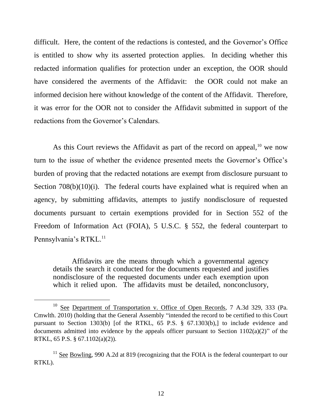difficult. Here, the content of the redactions is contested, and the Governor's Office is entitled to show why its asserted protection applies. In deciding whether this redacted information qualifies for protection under an exception, the OOR should have considered the averments of the Affidavit: the OOR could not make an informed decision here without knowledge of the content of the Affidavit. Therefore, it was error for the OOR not to consider the Affidavit submitted in support of the redactions from the Governor's Calendars.

As this Court reviews the Affidavit as part of the record on appeal,  $10$  we now turn to the issue of whether the evidence presented meets the Governor's Office's burden of proving that the redacted notations are exempt from disclosure pursuant to Section  $708(b)(10)(i)$ . The federal courts have explained what is required when an agency, by submitting affidavits, attempts to justify nondisclosure of requested documents pursuant to certain exemptions provided for in Section 552 of the Freedom of Information Act (FOIA), 5 U.S.C. § 552, the federal counterpart to Pennsylvania's RTKL.<sup>11</sup>

Affidavits are the means through which a governmental agency details the search it conducted for the documents requested and justifies nondisclosure of the requested documents under each exemption upon which it relied upon. The affidavits must be detailed, nonconclusory,

<sup>&</sup>lt;sup>10</sup> See Department of Transportation v. Office of Open Records, 7 A.3d 329, 333 (Pa. Cmwlth. 2010) (holding that the General Assembly "intended the record to be certified to this Court pursuant to Section 1303(b) [of the RTKL, 65 P.S. § 67.1303(b),] to include evidence and documents admitted into evidence by the appeals officer pursuant to Section 1102(a)(2)" of the RTKL, 65 P.S. § 67.1102(a)(2)).

<sup>&</sup>lt;sup>11</sup> See Bowling, 990 A.2d at 819 (recognizing that the FOIA is the federal counterpart to our RTKL).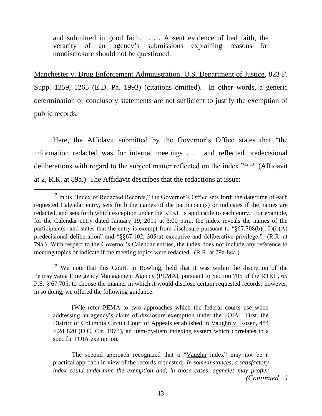and submitted in good faith. . . . Absent evidence of bad faith, the veracity of an agency's submissions explaining reasons for nondisclosure should not be questioned.

Manchester v. Drug Enforcement Administration, U.S. Department of Justice, 823 F. Supp. 1259, 1265 (E.D. Pa. 1993) (citations omitted). In other words, a generic determination or conclusory statements are not sufficient to justify the exemption of public records.

Here, the Affidavit submitted by the Governor's Office states that "the information redacted was for internal meetings . . . and reflected predecisional deliberations with regard to the subject matter reflected on the index."<sup>12,13</sup> (Affidavit at 2, R.R. at 89a.) The Affidavit describes that the redactions at issue:

l

<sup>13</sup> We note that this Court, in Bowling, held that it was within the discretion of the Pennsylvania Emergency Management Agency (PEMA), pursuant to Section 705 of the RTKL, 65 P.S. § 67.705, to choose the manner in which it would disclose certain requested records; however, in so doing, we offered the following guidance:

[W]e refer PEMA to two approaches which the federal courts use when addressing an agency's claim of disclosure exemption under the FOIA. First, the District of Columbia Circuit Court of Appeals established in Vaughn v. Rosen, 484 F.2d 820 (D.C. Cir. 1973), an item-by-item indexing system which correlates to a specific FOIA exemption.

The second approach recognized that a "Vaughn index" may not be a practical approach in view of the records requested. *In some instances, a satisfactory index could undermine the exemption and, in those cases, agencies may proffer (Continued…)*

 $12$  In its "Index of Redacted Records," the Governor's Office sets forth the date/time of each requested Calendar entry, sets forth the names of the participant(s) or indicates if the names are redacted, and sets forth which exception under the RTKL is applicable to each entry. For example, for the Calendar entry dated January 19, 2011 at 3:00 p.m., the index reveals the names of the participant(s) and states that the entry is exempt from disclosure pursuant to " $\S67.708(b)(10)(i)(A)$ predecisional deliberation" and "§§67.102, 305(a) executive and deliberative privilege." (R.R. at 79a.) With respect to the Governor's Calendar entries, the index does not include any reference to meeting topics or indicate if the meeting topics were redacted. (R.R. at 79a-84a.)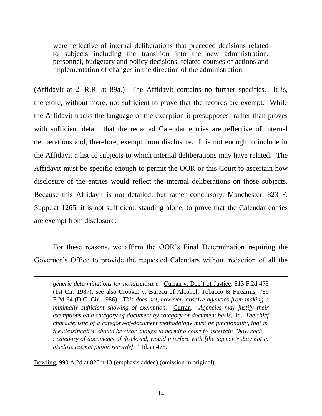were reflective of internal deliberations that preceded decisions related to subjects including the transition into the new administration, personnel, budgetary and policy decisions, related courses of actions and implementation of changes in the direction of the administration.

(Affidavit at 2, R.R. at 89a.) The Affidavit contains no further specifics. It is, therefore, without more, not sufficient to prove that the records are exempt. While the Affidavit tracks the language of the exception it presupposes, rather than proves with sufficient detail, that the redacted Calendar entries are reflective of internal deliberations and, therefore, exempt from disclosure. It is not enough to include in the Affidavit a list of subjects to which internal deliberations may have related. The Affidavit must be specific enough to permit the OOR or this Court to ascertain how disclosure of the entries would reflect the internal deliberations on those subjects. Because this Affidavit is not detailed, but rather conclusory, Manchester, 823 F. Supp. at 1265, it is not sufficient, standing alone, to prove that the Calendar entries are exempt from disclosure.

For these reasons, we affirm the OOR's Final Determination requiring the Governor's Office to provide the requested Calendars without redaction of all the

*generic determinations for nondisclosure.* Curran v. Dep't of Justice, 813 F.2d 473 (1st Cir. 1987); see also Crooker v. Bureau of Alcohol, Tobacco & Firearms, 789 F.2d 64 (D.C. Cir. 1986). *This does not, however, absolve agencies from making a minimally sufficient showing of exemption.*Curran.*Agencies may justify their exemptions on a category-of-document by category-of-document basis.* Id. *The chief characteristic of a category-of-document methodology must be functionality, that is, the classification should be clear enough to permit a court to ascertain "how each . . . category of documents, if disclosed, would interfere with [the agency's duty not to disclose exempt public records]."* Id. at 475.

Bowling, 990 A.2d at 825 n.13 (emphasis added) (omission in original).

-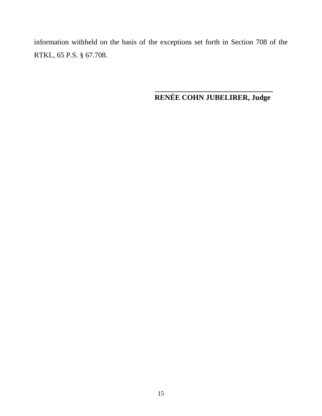information withheld on the basis of the exceptions set forth in Section 708 of the RTKL, 65 P.S. § 67.708.

## **\_\_\_\_\_\_\_\_\_\_\_\_\_\_\_\_\_\_\_\_\_\_\_\_\_\_\_\_\_\_\_\_ RENÉE COHN JUBELIRER, Judge**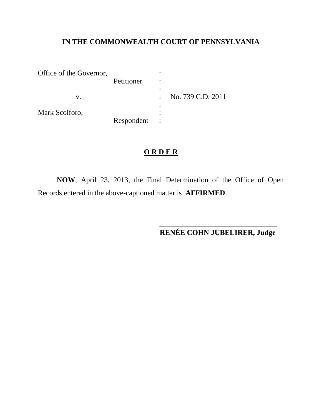# **IN THE COMMONWEALTH COURT OF PENNSYLVANIA**

| Office of the Governor, |            |                   |
|-------------------------|------------|-------------------|
|                         | Petitioner |                   |
|                         |            |                   |
|                         |            | No. 739 C.D. 2011 |
|                         |            |                   |
| Mark Scolforo,          |            |                   |
|                         | Respondent |                   |

## **O R D E R**

**NOW**, April 23, 2013, the Final Determination of the Office of Open Records entered in the above-captioned matter is **AFFIRMED**.

> **\_\_\_\_\_\_\_\_\_\_\_\_\_\_\_\_\_\_\_\_\_\_\_\_\_\_\_\_\_\_\_\_ RENÉE COHN JUBELIRER, Judge**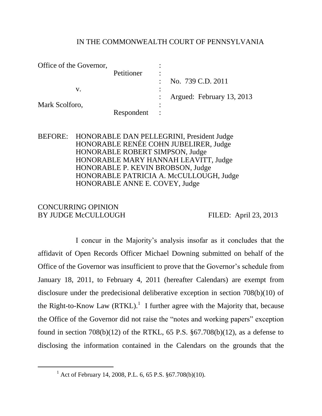## IN THE COMMONWEALTH COURT OF PENNSYLVANIA

| Office of the Governor, |            |           |                           |
|-------------------------|------------|-----------|---------------------------|
|                         | Petitioner | ٠         |                           |
|                         |            |           | No. 739 C.D. 2011         |
| V.                      |            | $\bullet$ |                           |
|                         |            |           | Argued: February 13, 2013 |
| Mark Scolforo,          |            | ٠         |                           |
|                         | Respondent |           |                           |

## BEFORE: HONORABLE DAN PELLEGRINI, President Judge HONORABLE RENÉE COHN JUBELIRER, Judge HONORABLE ROBERT SIMPSON, Judge HONORABLE MARY HANNAH LEAVITT, Judge HONORABLE P. KEVIN BROBSON, Judge HONORABLE PATRICIA A. McCULLOUGH, Judge HONORABLE ANNE E. COVEY, Judge

## CONCURRING OPINION BY JUDGE McCULLOUGH FILED: April 23, 2013

 $\overline{a}$ 

I concur in the Majority's analysis insofar as it concludes that the affidavit of Open Records Officer Michael Downing submitted on behalf of the Office of the Governor was insufficient to prove that the Governor's schedule from January 18, 2011, to February 4, 2011 (hereafter Calendars) are exempt from disclosure under the predecisional deliberative exception in section 708(b)(10) of the Right-to-Know Law  $(RTKL)$ .<sup>1</sup> I further agree with the Majority that, because the Office of the Governor did not raise the "notes and working papers" exception found in section  $708(b)(12)$  of the RTKL, 65 P.S.  $\S 67.708(b)(12)$ , as a defense to disclosing the information contained in the Calendars on the grounds that the

<sup>&</sup>lt;sup>1</sup> Act of February 14, 2008, P.L. 6, 65 P.S.  $\S 67.708(b)(10)$ .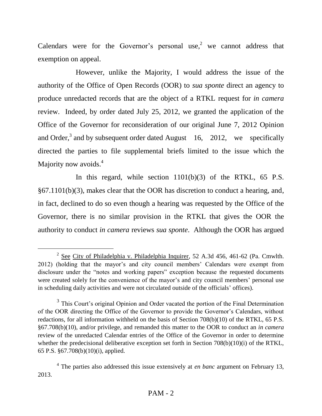Calendars were for the Governor's personal use,<sup>2</sup> we cannot address that exemption on appeal.

However, unlike the Majority, I would address the issue of the authority of the Office of Open Records (OOR) to *sua sponte* direct an agency to produce unredacted records that are the object of a RTKL request for *in camera* review. Indeed, by order dated July 25, 2012, we granted the application of the Office of the Governor for reconsideration of our original June 7, 2012 Opinion and Order,<sup>3</sup> and by subsequent order dated August  $16$ , 2012, we specifically directed the parties to file supplemental briefs limited to the issue which the Majority now avoids.<sup>4</sup>

In this regard, while section 1101(b)(3) of the RTKL, 65 P.S. §67.1101(b)(3), makes clear that the OOR has discretion to conduct a hearing, and, in fact, declined to do so even though a hearing was requested by the Office of the Governor, there is no similar provision in the RTKL that gives the OOR the authority to conduct *in camera* reviews *sua sponte*. Although the OOR has argued

 $\overline{a}$ 

 $2^{2}$  See City of Philadelphia v. Philadelphia Inquirer, 52 A.3d 456, 461-62 (Pa. Cmwlth. 2012) (holding that the mayor's and city council members' Calendars were exempt from disclosure under the "notes and working papers" exception because the requested documents were created solely for the convenience of the mayor's and city council members' personal use in scheduling daily activities and were not circulated outside of the officials' offices).

<sup>&</sup>lt;sup>3</sup> This Court's original Opinion and Order vacated the portion of the Final Determination of the OOR directing the Office of the Governor to provide the Governor's Calendars, without redactions, for all information withheld on the basis of Section 708(b)(10) of the RTKL, 65 P.S. §67.708(b)(10), and/or privilege, and remanded this matter to the OOR to conduct an *in camera* review of the unredacted Calendar entries of the Office of the Governor in order to determine whether the predecisional deliberative exception set forth in Section 708(b)(10)(i) of the RTKL, 65 P.S. §67.708(b)(10)(i), applied.

<sup>4</sup> The parties also addressed this issue extensively at *en banc* argument on February 13, 2013.